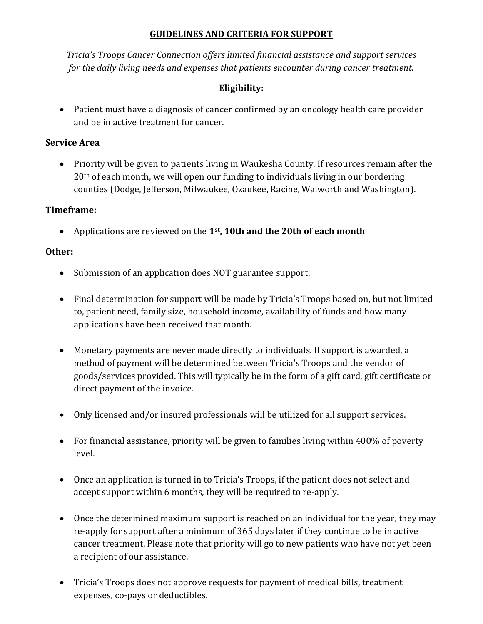## **GUIDELINES AND CRITERIA FOR SUPPORT**

*Tricia's Troops Cancer Connection offers limited financial assistance and support services for the daily living needs and expenses that patients encounter during cancer treatment.*

## **Eligibility:**

 Patient must have a diagnosis of cancer confirmed by an oncology health care provider and be in active treatment for cancer.

### **Service Area**

• Priority will be given to patients living in Waukesha County. If resources remain after the 20th of each month, we will open our funding to individuals living in our bordering counties (Dodge, Jefferson, Milwaukee, Ozaukee, Racine, Walworth and Washington).

### **Timeframe:**

Applications are reviewed on the **1st , 10th and the 20th of each month**

## **Other:**

- Submission of an application does NOT guarantee support.
- Final determination for support will be made by Tricia's Troops based on, but not limited to, patient need, family size, household income, availability of funds and how many applications have been received that month.
- Monetary payments are never made directly to individuals. If support is awarded, a method of payment will be determined between Tricia's Troops and the vendor of goods/services provided. This will typically be in the form of a gift card, gift certificate or direct payment of the invoice.
- Only licensed and/or insured professionals will be utilized for all support services.
- For financial assistance, priority will be given to families living within 400% of poverty level.
- Once an application is turned in to Tricia's Troops, if the patient does not select and accept support within 6 months, they will be required to re-apply.
- Once the determined maximum support is reached on an individual for the year, they may re-apply for support after a minimum of 365 days later if they continue to be in active cancer treatment. Please note that priority will go to new patients who have not yet been a recipient of our assistance.
- Tricia's Troops does not approve requests for payment of medical bills, treatment expenses, co-pays or deductibles.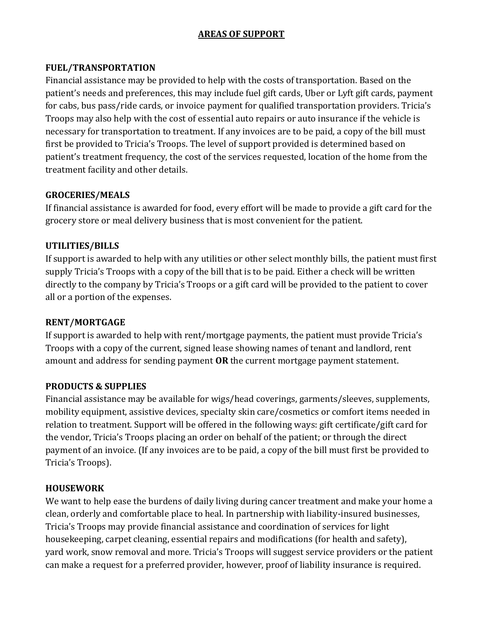# **AREAS OF SUPPORT**

### **FUEL/TRANSPORTATION**

Financial assistance may be provided to help with the costs of transportation. Based on the patient's needs and preferences, this may include fuel gift cards, Uber or Lyft gift cards, payment for cabs, bus pass/ride cards, or invoice payment for qualified transportation providers. Tricia's Troops may also help with the cost of essential auto repairs or auto insurance if the vehicle is necessary for transportation to treatment. If any invoices are to be paid, a copy of the bill must first be provided to Tricia's Troops. The level of support provided is determined based on patient's treatment frequency, the cost of the services requested, location of the home from the treatment facility and other details.

### **GROCERIES/MEALS**

If financial assistance is awarded for food, every effort will be made to provide a gift card for the grocery store or meal delivery business that is most convenient for the patient.

## **UTILITIES/BILLS**

If support is awarded to help with any utilities or other select monthly bills, the patient must first supply Tricia's Troops with a copy of the bill that is to be paid. Either a check will be written directly to the company by Tricia's Troops or a gift card will be provided to the patient to cover all or a portion of the expenses.

#### **RENT/MORTGAGE**

If support is awarded to help with rent/mortgage payments, the patient must provide Tricia's Troops with a copy of the current, signed lease showing names of tenant and landlord, rent amount and address for sending payment **OR** the current mortgage payment statement.

#### **PRODUCTS & SUPPLIES**

Financial assistance may be available for wigs/head coverings, garments/sleeves, supplements, mobility equipment, assistive devices, specialty skin care/cosmetics or comfort items needed in relation to treatment. Support will be offered in the following ways: gift certificate/gift card for the vendor, Tricia's Troops placing an order on behalf of the patient; or through the direct payment of an invoice. (If any invoices are to be paid, a copy of the bill must first be provided to Tricia's Troops).

#### **HOUSEWORK**

We want to help ease the burdens of daily living during cancer treatment and make your home a clean, orderly and comfortable place to heal. In partnership with liability-insured businesses, Tricia's Troops may provide financial assistance and coordination of services for light housekeeping, carpet cleaning, essential repairs and modifications (for health and safety), yard work, snow removal and more. Tricia's Troops will suggest service providers or the patient can make a request for a preferred provider, however, proof of liability insurance is required.